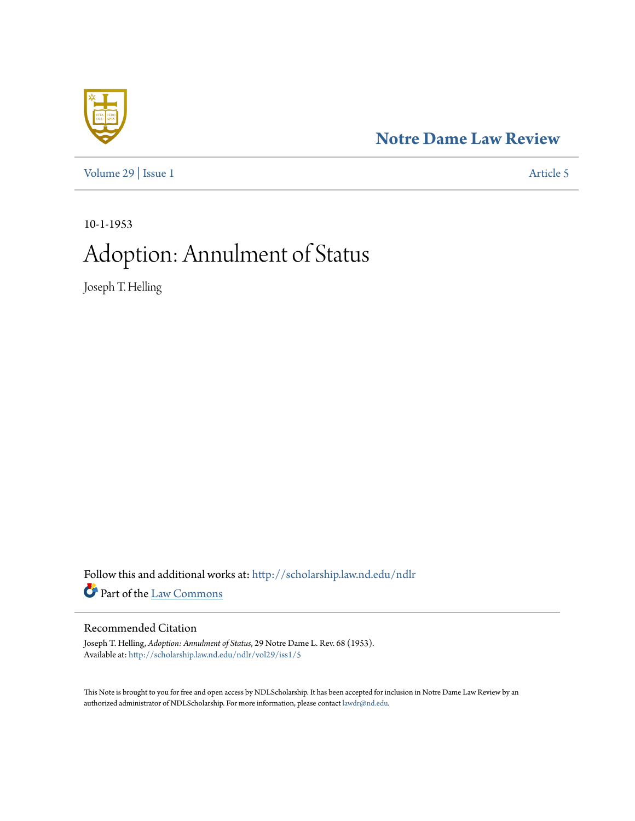## **[Notre Dame Law Review](http://scholarship.law.nd.edu/ndlr?utm_source=scholarship.law.nd.edu%2Fndlr%2Fvol29%2Fiss1%2F5&utm_medium=PDF&utm_campaign=PDFCoverPages)**



[Volume 29](http://scholarship.law.nd.edu/ndlr/vol29?utm_source=scholarship.law.nd.edu%2Fndlr%2Fvol29%2Fiss1%2F5&utm_medium=PDF&utm_campaign=PDFCoverPages) | [Issue 1](http://scholarship.law.nd.edu/ndlr/vol29/iss1?utm_source=scholarship.law.nd.edu%2Fndlr%2Fvol29%2Fiss1%2F5&utm_medium=PDF&utm_campaign=PDFCoverPages) [Article 5](http://scholarship.law.nd.edu/ndlr/vol29/iss1/5?utm_source=scholarship.law.nd.edu%2Fndlr%2Fvol29%2Fiss1%2F5&utm_medium=PDF&utm_campaign=PDFCoverPages)

10-1-1953

# Adoption: Annulment of Status

Joseph T. Helling

Follow this and additional works at: [http://scholarship.law.nd.edu/ndlr](http://scholarship.law.nd.edu/ndlr?utm_source=scholarship.law.nd.edu%2Fndlr%2Fvol29%2Fiss1%2F5&utm_medium=PDF&utm_campaign=PDFCoverPages) Part of the [Law Commons](http://network.bepress.com/hgg/discipline/578?utm_source=scholarship.law.nd.edu%2Fndlr%2Fvol29%2Fiss1%2F5&utm_medium=PDF&utm_campaign=PDFCoverPages)

### Recommended Citation

Joseph T. Helling, *Adoption: Annulment of Status*, 29 Notre Dame L. Rev. 68 (1953). Available at: [http://scholarship.law.nd.edu/ndlr/vol29/iss1/5](http://scholarship.law.nd.edu/ndlr/vol29/iss1/5?utm_source=scholarship.law.nd.edu%2Fndlr%2Fvol29%2Fiss1%2F5&utm_medium=PDF&utm_campaign=PDFCoverPages)

This Note is brought to you for free and open access by NDLScholarship. It has been accepted for inclusion in Notre Dame Law Review by an authorized administrator of NDLScholarship. For more information, please contact [lawdr@nd.edu](mailto:lawdr@nd.edu).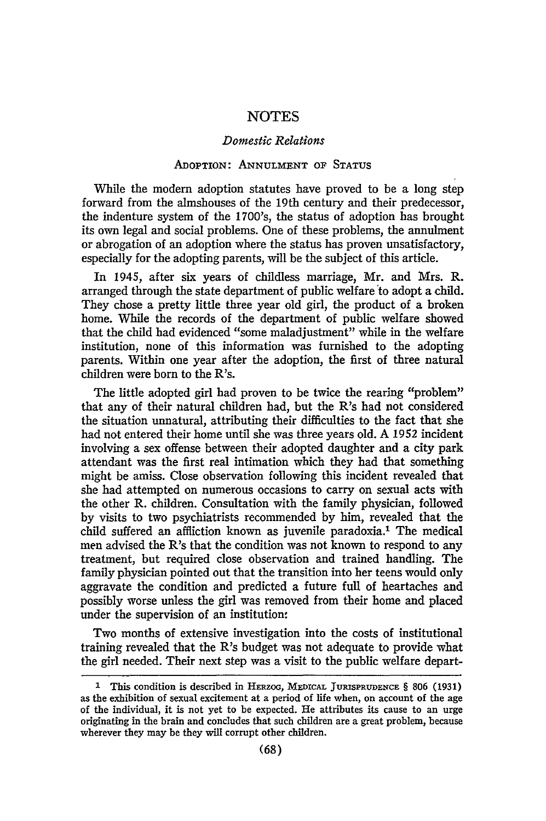#### *Domestic Relations*

#### ADOPTION: **ANNULMENT OF STATUS**

While the modern adoption statutes have proved to be a long step forward from the almshouses of the 19th century and their predecessor, the indenture system of the 1700's, the status of adoption has brought its own legal and social problems. One of these problems, the annulment or abrogation of an adoption where the status has proven unsatisfactory, especially for the adopting parents, will be the subject of this article.

In 1945, after six years of childless marriage, Mr. and Mrs. R. arranged through the state department of public welfare to adopt a child. They chose a pretty little three year old girl, the product of a broken home. While the records of the department of public welfare showed that the child had evidenced "some maladjustment" while in the welfare institution, none of this information was furnished to the adopting parents. Within one year after the adoption, the first of three natural children were born to the R's.

The little adopted girl had proven to be twice the rearing "problem" that any of their natural children had, but the R's had not considered the situation unnatural, attributing their difficulties to the fact that she had not entered their home until she was three years old. **A** 1952 incident involving a sex offense between their adopted daughter and a city park attendant was the first real intimation which they had that something might be amiss. Close observation following this incident revealed that she had attempted on numerous occasions to carry on sexual acts with the other R. children. Consultation with the family physician, followed by visits to two psychiatrists recommended by him, revealed that the child suffered an affliction known as juvenile paradoxia.' The medical men advised the R's that the condition was not known to respond to any treatment, but required close observation and trained handling. The family physician pointed out that the transition into her teens would only aggravate the condition and predicted a future full of heartaches and possibly worse unless the girl was removed from their home and placed under the supervision of an institution:

Two months of extensive investigation into the costs of institutional training revealed that the R's budget was not adequate to provide what the girl needed. Their next step was a visit to the public welfare depart-

**<sup>1</sup>**This condition is described in HERzoG, MEDICAL **JURIsPRUDENCE** § **806** (1931) as the exhibition of sexual excitement at a period of life when, on account of the age of the individual, it is not yet to be expected. He attributes its cause to an urge originating in the brain and concludes that such children are a great problem, because wherever they may be they will corrupt other children.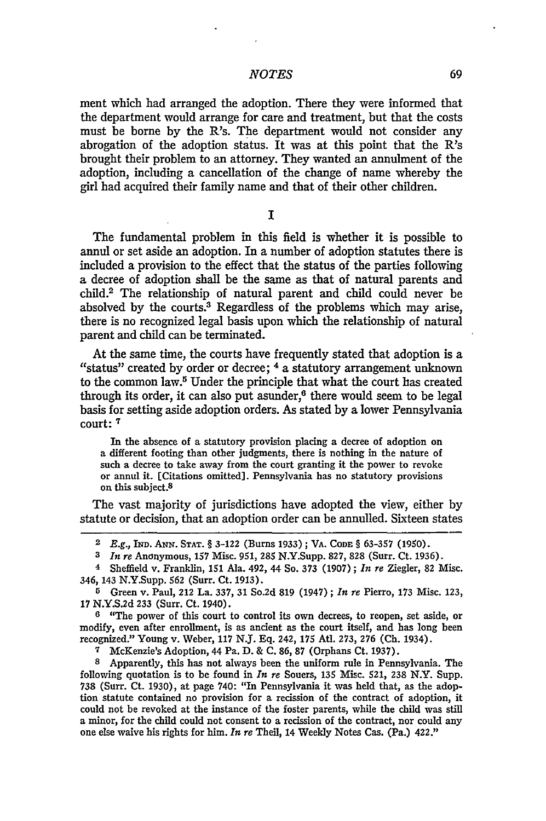ment which had arranged the adoption. There they were informed that the department would arrange for care and treatment, but that the costs must be borne by the R's. The department would not consider any abrogation of the adoption status. It was at this point that the R's brought their problem to an attorney. They wanted an annulment of the adoption, including a cancellation of the change of name whereby the girl had acquired their family name and that of their other children.

**I**

The fundamental problem in this field is whether it is possible to annul or set aside an adoption. In a number of adoption statutes there is included a provision to the effect that the status of the parties following a decree of adoption shall be the same as that of natural parents and child. 2 The relationship of natural parent and child could never be absolved by the courts.<sup>3</sup> Regardless of the problems which may arise, there is no recognized legal basis upon which the relationship of natural parent and child can be terminated.

At the same time, the courts have frequently stated that adoption is a "status" created by order or decree; <sup>4</sup> a statutory arrangement unknown to the common law.5 Under the principle that what the court has created through its order, it can also put asunder, $6$  there would seem to be legal basis for setting aside adoption orders. As stated by a lower Pennsylvania court: **7**

In the absence of a statutory provision placing a decree of adoption on a different footing than other judgments, there is nothing in the nature of such a decree to take away from the court granting it the power to revoke or annul it. [Citations omitted]. Pennsylvania has no statutory provisions on this subject.8

The vast majority of jurisdictions have adopted the view, either by statute or decision, that an adoption order can be annulled. Sixteen states

**7** McKenzie's Adoption, 44 Pa. D. & C. 86, 87 (Orphans Ct. 1937).

**<sup>8</sup>**Apparently, this has not always been the uniform rule in Pennsylvania. The following quotation is to be found in *In re* Souers, 135 Misc. 521, **238** N.Y. Supp. 738 (Surr. Ct. 1930), at page 740: "In Pennsylvania it was held that, as the adoption statute contained no provision for a recission of the contract of adoption, it could not be revoked at the instance of the foster parents, while the child was still a minor, for the child could not consent to a recission of the contract, nor could any one else waive his rights for him. *In re* Theil, 14 Weekly Notes Cas. (Pa.) 422."

**<sup>2</sup> E.g., IND. ANN. STAT.** § **3-122** (Burns **1933);** VA. **CODE** § **63-357** (1950).

**<sup>3</sup>** *In re* Anonymous, 157 Misc. 951, **285** N.Y.Supp. 827, **828** (Surr. Ct. 1936).

<sup>4</sup> Sheffield v. Franklin, 151 Ala. 492, 44 So. 373 (1907); *In re* Ziegler, **82** Misc. 346, 143 N.Y.Supp. **562** (Surr. Ct. 1913).

<sup>5</sup> Green v. Paul, 212 La. 337, 31 So.2d 819 (1947) **;** *In re* Pierro, 173 Misc. 123, 17 N.Y.S.2d **233** (Surr. Ct. 1940).

**<sup>6</sup>** "The power of this court to control its own decrees, to reopen, set aside, or modify, even after enrollment, is as ancient as the court itself, and has long been recognized." Young v. Weber, 117 N.J. Eq. 242, 175 Atl. 273, 276 (Ch. 1934).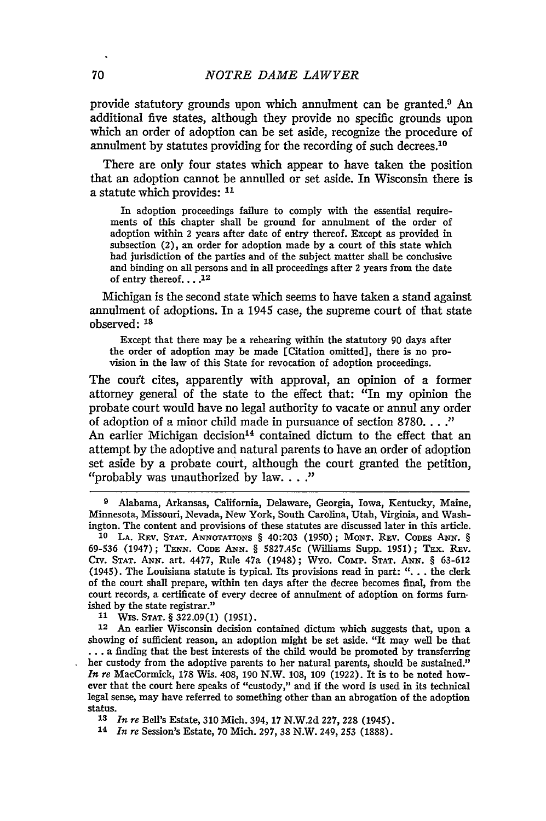provide statutory grounds upon which annulment can be granted.9 An additional five states, although they provide no specific grounds upon which an order of adoption can be set aside, recognize the procedure of annulment by statutes providing for the recording of such decrees.10

There are only four states which appear to have taken the position that an adoption cannot be annulled or set aside. In Wisconsin there is a statute which provides: **11**

In adoption proceedings failure to comply with the essential requirements of this chapter shall be ground for annulment of the order of adoption within 2 years after date of entry thereof. Except as provided in subsection (2), an order for adoption made by a court of this state which had jurisdiction of the parties and of the subject matter shall be conclusive and binding on all persons and in all proceedings after 2 years from the date of entry thereof.  $\ldots$ <sup>12</sup>

Michigan is the second state which seems to have taken a stand against annulment of adoptions. In a 1945 case, the supreme court of that state observed: **13**

Except that there may be a rehearing within the statutory **90** days after the order of adoption may be made [Citation omitted], there is no provision in the law of this State for revocation of adoption proceedings.

The court cites, apparently with approval, an opinion of a former attorney general of the state to the effect that: "In my opinion the probate court would have no legal authority to vacate or annul any order of adoption of a minor child made in pursuance of section 8780 **... "** An earlier Michigan decision<sup>14</sup> contained dictum to the effect that an

attempt by the adoptive and natural parents to have an order of adoption set aside by a probate court, although the court granted the petition, "probably was unauthorized by law...."

**9** Alabama, Arkansas, California, Delaware, Georgia, Iowa, Kentucky, Maine, Minnesota, Missouri, Nevada, New York, South Carolina, Utah, Virginia, and Washington. The content and provisions of these statutes are discussed later in this article.

**10 LA.** REv. **STAT.** ANNoTATIONS § 40:203 (1950); **MONT.** REv. CODES **ANN.** *§* **69-536** (1947); **TENN. CODE** ANN. § 5827.45c (Williams Supp. 1951); TEx. REv. Civ. **STAT.** ANN. art. 4477, Rule 47a (1948); Wyo. Comp. **STAT. ANN.** § 63-612 (1945). The Louisiana statute is typical. Its provisions read in part: **" ..**the clerk of the court shall prepare, within ten days after the decree becomes final, from the court records, a certificate of every decree of annulment of adoption on forms furn. ished by the state registrar."

**11** Wis. STAT. **§** 322.09(1) (1951).

12 An earlier Wisconsin decision contained dictum which suggests that, upon a showing of sufficient reason, an adoption might be set aside. "It may well be that ... a finding that the best interests of the child would be promoted by transferring her custody from the adoptive parents to her natural parents, should be sustained." *In* re MacCormick, 178 Wis. 408, **190** N.W. 108, **109** (1922). It is to be noted however that the court here speaks of "custody," and if the word is used in its technical legal sense, may have referred to something other than an abrogation of the adoption status.

**13** *In re* Bell's Estate, 310 Mich. **394, 17** N.W.2d 227, **228** (1945).

14 *In re* Session's Estate, 70 Mich. 297, 38 N.W. 249, **253** (1888).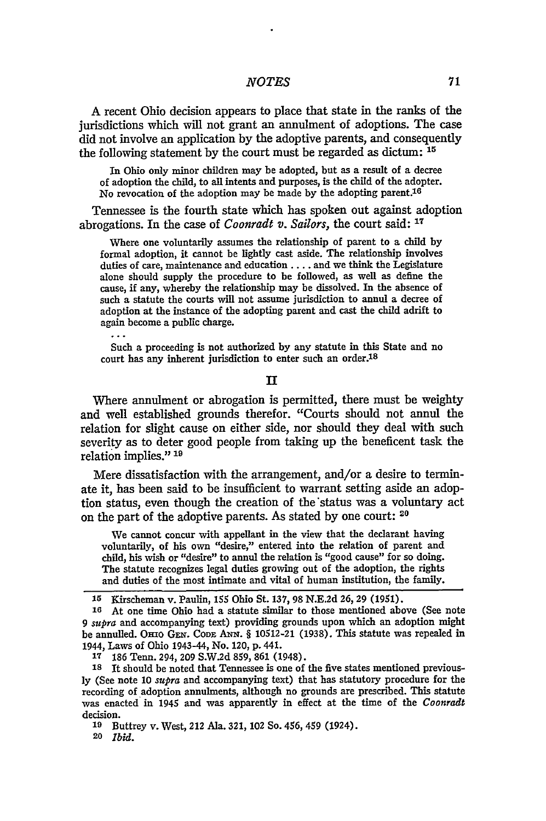A recent Ohio decision appears to place that state in the ranks of the jurisdictions which will not grant an annulment of adoptions. The case did not involve an application by the adoptive parents, and consequently the following statement by the court must be regarded as dictum: **15**

In Ohio only minor children may be adopted, but as a result of a decree of adoption the child, to all intents and purposes, is the child of the adopter. No revocation of the adoption may be made **by** the adopting parent.16

Tennessee is the fourth state which has spoken out against adoption abrogations. In the case of *Coonradt v. Sailors,* the court said: **17**

Where one voluntarily assumes the relationship of parent to a child by formal adoption, it cannot be lightly cast aside. The relationship involves duties of care, maintenance and education .... and we think the Legislature alone should supply the procedure to be followed, as well as define the cause, if any, whereby the relationship may be dissolved. In the absence of such a statute the courts will not assume jurisdiction to annul a decree of adoption at the instance of the adopting parent and cast the child adrift to again become a public charge.

Such a proceeding is not authorized by any statute in this State and no court has any inherent jurisdiction to enter such an order.<sup>18</sup>

#### $\mathbf{I}$

Where annulment or abrogation is permitted, there must be weighty and well established grounds therefor. "Courts should not annul the relation for slight cause on either side, nor should they deal with such severity as to deter good people from taking up the beneficent task the relation implies." **19**

Mere dissatisfaction with the arrangement, and/or a desire to terminate it, has been said to be insufficient to warrant setting aside an adoption status, even though the creation of the'status was a voluntary act on the part of the adoptive parents. As stated by one court: **<sup>20</sup>**

We cannot concur with appellant in the view that the declarant having voluntarily, of his own "desire," entered into the relation of parent and child, his wish or "desire" to annul the relation is "good cause" for so doing. The statute recognizes legal duties growing out of the adoption, the rights and duties of the most intimate and vital of human institution, the family.

**<sup>17</sup>**186 Tenn. 294, 209 S.W.2d 859, 861 (1948).

**18** It should be noted that Tennessee is one of the five states mentioned previously (See note 10 *supra* and accompanying text) that has statutory procedure for the recording of adoption annulments, although no grounds are prescribed. This statute was enacted in 1945 and was apparently in effect at the time of the *Coonradt* decision.

**19** Buttrey v. West, 212 Ala. 321, 102 So. 456, 459 (1924).

**20** *Ibid.*

**<sup>15</sup>** Kirscheman v. Paulin, 155 Ohio St. 137,98 N.E.2d 26,29 (1951).

**<sup>16</sup>**At one time Ohio had a statute similar to those mentioned above (See note *9 supra* and accompanying text) providing grounds upon which an adoption might be annulled. Orno Grx. **CODE** Axx. § 10512-21 (1938). This statute was repealed in 1944, Laws of Ohio 1943-44, No. 120, p. 441.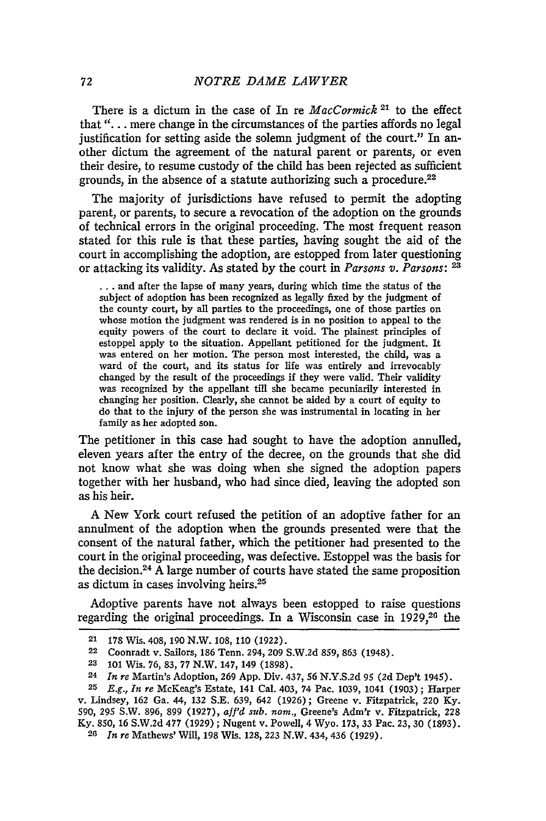There is a dictum in the case of In re *MacCormick* **21** to the effect that *"...* mere change in the circumstances of the parties affords no legal justification for setting aside the solemn judgment of the court." In another dictum the agreement of the natural parent or parents, or even their desire, to resume custody of the child has been rejected as sufficient grounds, in the absence of a statute authorizing such a procedure.<sup>22</sup>

The majority of jurisdictions have refused to permit the adopting parent, or parents, to secure a revocation of the adoption on the grounds of technical errors in the original proceeding. The most frequent reason stated for this rule is that these parties, having sought the aid of the court in accomplishing the adoption, are estopped from later questioning or attacking its validity. As stated **by** the court in *Parsons v. Parsons: <sup>23</sup>*

**...** and after the lapse of many years, during which time the status of the subject of adoption has been recognized as legally fixed **by** the judgment of the county court, **by** all parties to the proceedings, one of those parties on whose motion the judgment was rendered is in no position to appeal to the equity powers of the court to declare it void. The plainest principles of estoppel apply to the situation. Appellant petitioned for the judgment. It was entered on her motion. The person most interested, the child, was a ward of the court, and its status for life was entirely and irrevocably changed **by** the result of the proceedings if they were valid. Their validity was recognized **by** the appellant till she became pecuniarily interested in changing her position. Clearly, she cannot be aided **by** a court of equity to do that to the injury of the person she was instrumental in locating in her family as her adopted son.

The petitioner in this case had sought to have the adoption annulled, eleven years after the entry of the decree, on the grounds that she did not know what she was doing when she signed the adoption papers together with her husband, who had since died, leaving the adopted son as his heir.

**A** New York court refused the petition of an adoptive father for an annulment of the adoption when the grounds presented were that the consent of the natural father, which the petitioner had presented to the court in the original proceeding, was defective. Estoppel was the basis for the decision.2 <sup>4</sup>**A** large number of courts have stated the same proposition as dictum in cases involving heirs.<sup>25</sup>

Adoptive parents have not always been estopped to raise questions regarding the original proceedings. In a Wisconsin case in **1929,26** the

**25** *E.g., In re* McKeag's Estate, 141 Cal. 403, 74 Pac. **1039,** 1041 **(1903);** Harper v. Lindsey, **162** Ga. 44, **132 S.E. 639,** 642 **(1926);** Greene v. Fitzpatrick, 220 **Ky. 590, 295** S.W. **896, 899 (1927),** *af'd sub. nom.,* Greene's Adm'r v. Fitzpatrick, **<sup>228</sup> Ky. 850, 16 S.W.2d 477 (1929) ;** Nugent v. Powell, 4 Wyo. **173, 33** Pac. **23, 30 (1893).**

**<sup>21 178</sup>** Wis. 408, **190** N.W. **108, 110 (1922).**

**<sup>22</sup>** Coonradt v. Sailors, **186** Tenn. 294, **209 S.W.2d 859, 863** (1948).

**<sup>23 101</sup>** Wis. **76, 83, 77** N.W. 147, 149 **(1898).**

**<sup>24</sup>** *In re* Martin's Adoption, **269 App.** Div. 437, **56 N.Y.S.2d 95 (2d** Dep't 1945).

**<sup>26</sup>** *In re* Mathews' Will, **198** Wis. **128, 223** N.W. 434, 436 **(1929).**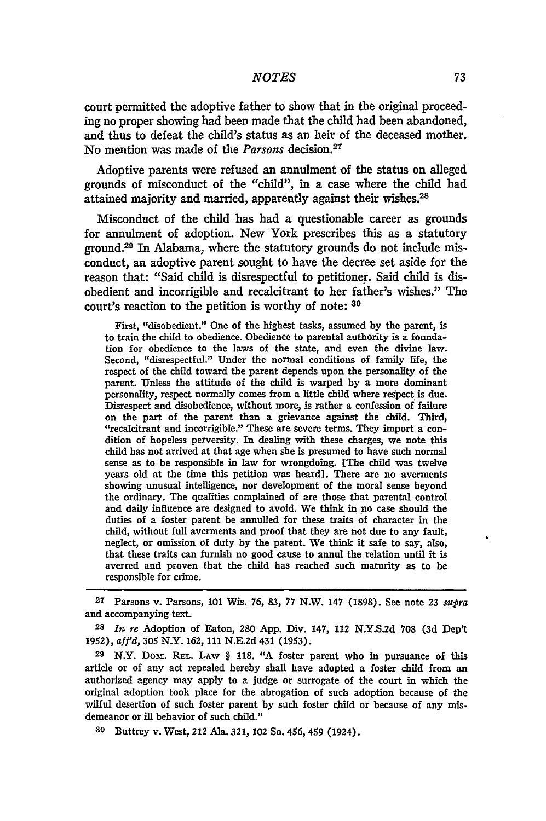court permitted the adoptive father to show that in the original proceeding no proper showing had been made that the child had been abandoned, and thus to defeat the child's status as an heir of the deceased mother. No mention was made of the *Parsons* decision.<sup>27</sup>

Adoptive parents were refused an annulment of the status on alleged grounds of misconduct of the "child", in a case where the child had attained majority and married, apparently against their wishes.<sup>28</sup>

Misconduct of the child has had a questionable career as grounds for annulment of adoption. New York prescribes this as a statutory ground. 29 In Alabama, where the statutory grounds do not include misconduct, an adoptive parent sought to have the decree set aside for the reason that: "Said child is disrespectful to petitioner. Said child is disobedient and incorrigible and recalcitrant to her father's wishes." The court's reaction to the petition is worthy of note: **30**

First, "disobedient." One of the highest tasks, assumed **by** the parent, is to train the child to obedience. Obedience to parental authority is a foundation for obedience to the laws of the state, and even the divine law. Second, "disrespectful." Under the normal conditions of family life, the respect of the child toward the parent depends upon the personality of the parent. Unless the attitude of the child is warped **by** a more dominant personality, respect normally comes from a little child where respect is due. Disrespect and disobedience, without more, is rather a confession of failure on the part of the parent than a grievance against the child. Third, "recalcitrant and incorrigible." These are severe terms. They import a condition of hopeless perversity. In dealing with these charges, we note this child has not arrived at that age when she is presumed to have such normal sense as to be responsible in law for wrongdoing. [The child was twelve years old at the time this petition was heard]. There are no averments showing unusual intelligence, nor development of the moral sense beyond the ordinary. The qualities complained of are those that parental control and daily influence are designed to avoid. We think in no case should the duties of a foster parent be annulled for these traits of character in the child, without fuli averments and proof that they are not due to any fault, neglect, or omission of duty **by** the parent. We think it safe to say, also, that these traits can furnish no good cause to annul the relation until it is averred and proven that the child has reached such maturity as to be responsible for crime.

**27** Parsons v. Parsons, **101** Wis. **76, 83, 77** N.W. 147 **(1898).** See note **23** *supra* and accompanying text.

**28** *In re* Adoption of Eaton, **280 App.** Div. 147, 112 **N.Y.S.2d 708 (3d** Dep't **1952),** *affd,* **305** N.Y. **162, 111 N.E.2d** 431 **(1953).**

**29** N.Y. Domr. **RE-L. LAW** § **118. "A** foster parent who in pursuance of this article or of any act repealed hereby shall have adopted a foster child from an authorized agency may apply to a judge or surrogate of the court in which the original adoption took place for the abrogation of such adoption because of the wilful desertion of such foster parent **by** such foster child or because of any misdemeanor or **ill** behavior of such child."

**30** Buttrey v. West, 212 Ala. **321,** 102 So. 456, 459 (1924).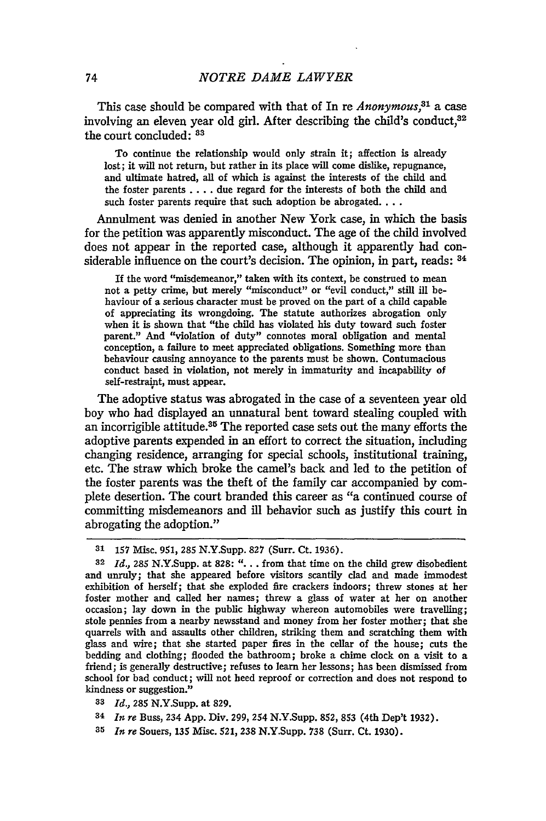This case should be compared with that of In re *Anonymous,31* a case involving an eleven year old girl. After describing the child's conduct.<sup>32</sup> the court concluded: **<sup>83</sup>**

To continue the relationship would only strain it; affection is already lost; it will not return, but rather in its place will come dislike, repugnance, and ultimate hatred, all of which is against the interests of the child and the foster parents .... due regard for the interests of both the child and such foster parents require that such adoption be abrogated....

Annulment was denied in another New York case, in which the basis for the petition was apparently misconduct. The age of the child involved does not appear in the reported case, although it apparently had considerable influence on the court's decision. The opinion, in part, reads:  $34$ 

**If** the word "misdemeanor," taken with its context, be construed to mean not a petty crime, but merely "misconduct" or "evil conduct," still ill behaviour of a serious character must be proved on the part of a child capable of appreciating its wrongdoing. The statute authorizes abrogation only when it is shown that "the child has violated his duty toward such foster parent." And "violation of duty" connotes moral obligation and mental conception, a failure to meet appreciated obligations. Something more than behaviour causing annoyance to the parents must be shown. Contumacious conduct based in violation, not merely in immaturity and incapability of self-restraint, must appear.

The adoptive status was abrogated in the case of a seventeen year old boy who had displayed an unnatural bent toward stealing coupled with an incorrigible attitude.<sup>35</sup> The reported case sets out the many efforts the adoptive parents expended in an effort to correct the situation, including changing residence, arranging for special schools, institutional training, etc. The straw which broke the camel's back and led to the petition of the foster parents was the theft of the family car accompanied by complete desertion. The court branded this career as "a continued course of committing misdemeanors and ill behavior such as justify this court in abrogating the adoption."

- **<sup>33</sup>***Id.,* **285** N.Y.Supp. at **829.**
- **<sup>34</sup>***In re* Buss, 234 **App.** Div. 299, 254 N.Y.Supp. 852, **853** (4th Dep't 1932).
- **35** *In re* Souers, 135 Misc. 521, **238** N.Y.Supp. **738** (Surr. Ct. 1930).

**<sup>31 157</sup>** Misc. 951, 285 N.Y.Supp. 827 (Surr. Ct. 1936).

**<sup>32</sup>** *Id.,* 285 N.Y.Supp. at **828:** ". **.** . from that time on the child grew disobedient and unruly; that she appeared before visitors scantily clad and made immodest exhibition of herself; that she exploded fire crackers indoors; threw stones at her foster mother and called her names; threw a glass of water at her on another occasion; lay down in the public highway whereon automobiles were travelling; stole pennies from a nearby newsstand and money from her foster mother; that she quarrels with and assaults other children, striking them and scratching them with glass and wire; that she started paper fires in the cellar of the house; cuts the bedding and clothing; flooded the bathroom; broke a chime clock on a visit to a friend; is generally destructive; refuses to learn her lessons; has been dismissed from school for bad conduct; will not heed reproof or correction and does not respond to kindness or suggestion."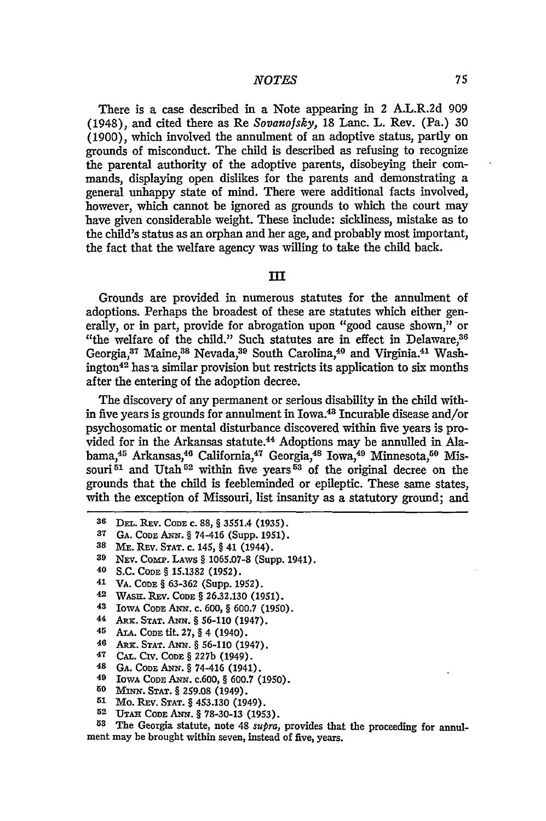There is a case described in a Note appearing in 2 A.L.R.2d 909 (1948), and cited there as Re *Sovanofsky,* 18 Lanc. L. Rev. (Pa.) 30 (1900), which involved the annulment of an adoptive status, partly on grounds of misconduct. The child is described as refusing to recognize the parental authority of the adoptive parents, disobeying their commands, displaying open dislikes for the parents and demonstrating a general unhappy state of mind. There were additional facts involved, however, which cannot be ignored as grounds to which the court may have given considerable weight. These include: sickliness, mistake as to the child's status as an orphan and her age, and probably most important, the fact that the welfare agency was willing to take the child back.

#### **III**

Grounds are provided in numerous statutes for the annulment of adoptions. Perhaps the broadest of these are statutes which either generally, or in part, provide for abrogation upon "good cause shown," or "the welfare of the child." Such statutes are in effect in Delaware.<sup>36</sup> Georgia,<sup>37</sup> Maine,<sup>38</sup> Nevada,<sup>39</sup> South Carolina,<sup>40</sup> and Virginia.<sup>41</sup> Washington $42$  has a similar provision but restricts its application to six months after the entering of the adoption decree.

The discovery of any permanent or serious disability in the child within five years is grounds for annulment in Iowa.43 Incurable disease and/or psychosomatic or mental disturbance discovered within five years is provided for in the Arkansas statute.<sup>44</sup> Adoptions may be annulled in Alabama,<sup>45</sup> Arkansas,<sup>46</sup> California,<sup>47</sup> Georgia,<sup>48</sup> Iowa,<sup>49</sup> Minnesota,<sup>50</sup> Missouri<sup>61</sup> and Utah<sup>52</sup> within five years<sup>53</sup> of the original decree on the grounds that the child is feebleminded or epileptic. These same states, with the exception of Missouri, list insanity as a statutory ground; and

- 42 **WASH.** REV. CODE § **26.32.130 (1951).**
- **43** IowA CODE **ANN. C.** 600, § 600.7 (1950).
- **44** ARx. STAT. ANx. § **56-110** (1947).
- 45 **ALA. CODE** tit. 27, § 4 (1940).
- 46 Ax. STAT. **ANN.** § 56-110 (1947).
- 47 **CAL.** Crv. CODE § 227b (1949).
- **48 GA.** CODE **ANN.** § 74-416 (1941).
- **49 IOWA CODE ANN.** c.600, § **600.7 (1950).**
- 50 M N. **STAT.** § **259.08** (1949).
- **51** Mo. **REV. STAT. §** 453.130 (1949).
- **52 UTAi CODE** AwN. § 78-30-13 (1953).

**583** The Georgia statute, note 48 *supra,* provides that the proceeding for annulment may be brought within seven, instead of five, years.

<sup>36</sup> **DEL. REV. CODE c. 88, § 3551.4 (1935).** 

**<sup>37</sup> GA.** CODE *AaNr.* § 74-416 (Supp. 1951).

**<sup>38</sup>** ME. REv. STAT. **C.** 145, § 41 (1944).

<sup>39</sup> NEV. COMP. LAWS § 1065.07-8 (Supp. 1941).

**<sup>40</sup>** S.C. CODE § **15.1382** (1952).

<sup>41</sup> VA. CODE § **63-362** (Supp. **1952).**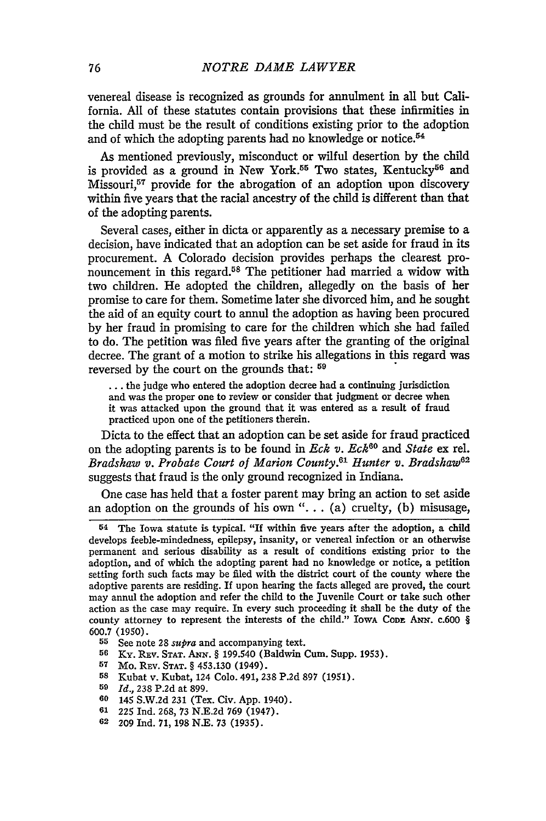venereal disease is recognized as grounds for annulment in all but California. All of these statutes contain provisions that these infirmities in the child must be the result of conditions existing prior to the adoption and of which the adopting parents had no knowledge or notice.<sup>54</sup>

As mentioned previously, misconduct or wilful desertion by the child is provided as a ground in New York.<sup>55</sup> Two states, Kentucky<sup>56</sup> and Missouri,<sup>57</sup> provide for the abrogation of an adoption upon discovery within five years that the racial ancestry of the child is different than that of the adopting parents.

Several cases, either in dicta or apparently as a necessary premise to a decision, have indicated that an adoption can be set aside for fraud in its procurement. A Colorado decision provides perhaps the dearest pronouncement in this regard.<sup>58</sup> The petitioner had married a widow with two children. He adopted the children, allegedly on the basis of her promise to care for them. Sometime later she divorced him, and he sought the aid of an equity court to annul the adoption as having been procured by her fraud in promising to care for the children which she had failed to do. The petition was filed five years after the granting of the original decree. The grant of a motion to strike his allegations in this regard was reversed by the court on the grounds that:  $59$ 

**...** the judge who entered the adoption decree had a continuing jurisdiction and was the proper one to review or consider that judgment or decree when it was attacked upon the ground that it was entered as a result of fraud practiced upon one of the petitioners therein.

Dicta to the effect that an adoption can be set aside for fraud practiced on the adopting parents is to be found in *Eck v. Eck60 and State* ex rel. *Bradshaw v. Probate Court of Marion County.61 Hunter v. Bradshaw 1 2* suggests that fraud is the only ground recognized in Indiana.

One case has held that a foster parent may bring an action to set aside an adoption on the grounds of his own " $\dots$  (a) cruelty, (b) misusage,

- **<sup>57</sup>**Mo. REv. **STAT.** § 453.130 (1949).
- **58** Kubat v. Kubat, 124 Colo. 491, 238 P.2d **897** (1951).
- **<sup>59</sup>***Id.,* 238 P.2d at 899.
- **60** 145 S.W.2d 231 (Tex. Civ. App. 1940).
- **61 225** Ind. 268, 73 **N.E.2d 769** (1947).
- **62** 209 Ind. 71, 198 N.E. 73 (1935).

<sup>54</sup>The Iowa statute is typical. "If within five years after the adoption, a child develops feeble-mindedness, epilepsy, insanity, or venereal infection or an otherwise permanent and serious disability as a result of conditions existing prior to the adoption, and of which the adopting parent had no knowledge or notice, a petition setting forth such facts may be filed with the district court of the county where the adoptive parents are residing. If upon hearing the facts alleged are proved, the court may annul the adoption and refer the child to the Juvenile Court or take such other action as the case may require. In every such proceeding it shall be the duty of the county attorney to represent the interests of the child." Iowa CoDE ANN. c.600 § 600.7 (1950).

**<sup>55</sup>** See note 28 *supra* and accompanying text.

**<sup>56</sup>** Ky. Rav. **STAT. ANN.** § 199.540 (Baldwin Cum. Supp. 1953).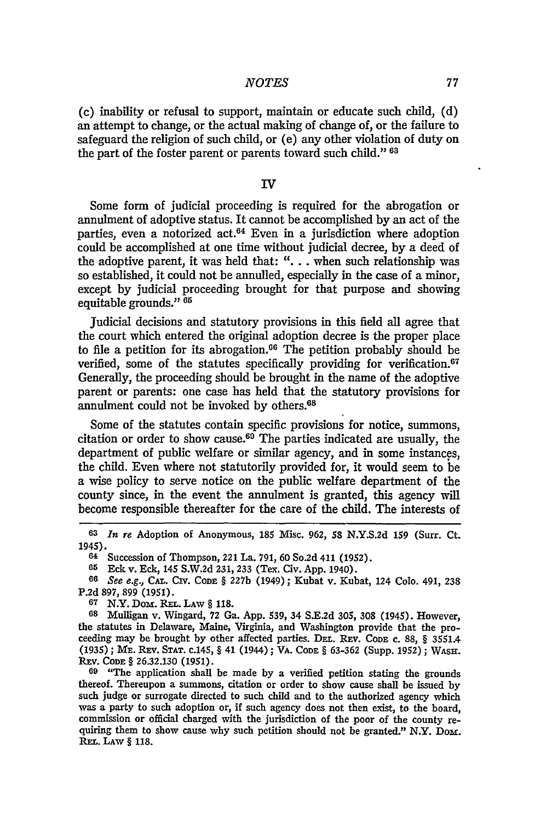(c) inability or refusal to support, maintain or educate such child, **(d)** an attempt to change, or the actual making of change of, or the failure to safeguard the religion of such child, or (e) any other violation of duty on the part of the foster parent or parents toward such child." **<sup>63</sup>**

#### **IV**

Some form of judicial proceeding is required for the abrogation or annulment of adoptive status. It cannot be accomplished **by** an act of the parties, even a notorized act. $64$  Even in a jurisdiction where adoption could be accomplished at one time without judicial decree, **by** a deed of the adoptive parent, it was held that: **". . .** when such relationship was so established, it could not be annulled, especially in the case of a minor, except **by** judicial proceeding brought for that purpose and showing equitable grounds." **65**

Judicial decisions and statutory provisions in this field all agree that the court which entered the original adoption decree is the proper place to file a petition for its abrogation.<sup>66</sup> The petition probably should be verified, some of the statutes specifically providing for verification.<sup>67</sup> Generally, the proceeding should be brought in the name of the adoptive parent or parents: one case has held that the statutory provisions for annulment could not be invoked **by** others.68

Some of the statutes contain specific provisions for notice, summons, citation or order to show cause. 69 The parties indicated are usually, the department of public welfare or similar agency, and in some instances, the child. Even where not statutorily provided for, it would seem to be a wise policy to serve notice on the public welfare department of the county since, in the event the annulment is granted, this agency will become responsible thereafter for the care of the child. The interests of

**64** Succession of Thompson, 221 La. 791, 60 So.2d 411 (1952).

**65** Eck v. Eck, 145 S.W.2d 231, 233 (Tex. Civ. App. 1940).

**66** *See e.g.,* **CA.** CIV. **CODE** § 227b (1949); Kubat v. Kubat, 124 Colo. 491, 238 P.2d 897, 899 (1951).

**67** N.Y. DoM. REL. LAw § **118.**

**68** Mulligan v. Wingard, **72** Ga. **App.** 539, 34 **S.E.2d 305, 308** (1945). However, the statutes in Delaware, Maine, Virginia, and Washington provide that the proceeding may be brought **by** other affected parties. **DE.** Rav. **CODE C. 88,** § 3551.4 **(1935);** ME. RaV. **STAT.** c.145, § 41 (1944); VA. **CODE** § **63-362** (Supp. **1952); WASH.** REV. **CODE** § **26.32.130 (1951).**

**69** "The application shall be made **by** a verified petition stating the grounds thereof. Thereupon a summons, citation or order to show cause shall be issued **by** such judge or surrogate directed to such child and to the authorized agency which was a party to such adoption or, if such agency does not then exist, to the board, commission or official charged with the jurisdiction of the poor of the county re- quiring them to show cause why such petition should not be granted." N.Y. Dom. REL. **LAW** § **118.**

**<sup>63</sup>***In re* Adoption of Anonymous, **185** Misc. 962, 58 **N.Y.S.2d 159** (Surr. Ct. 1945).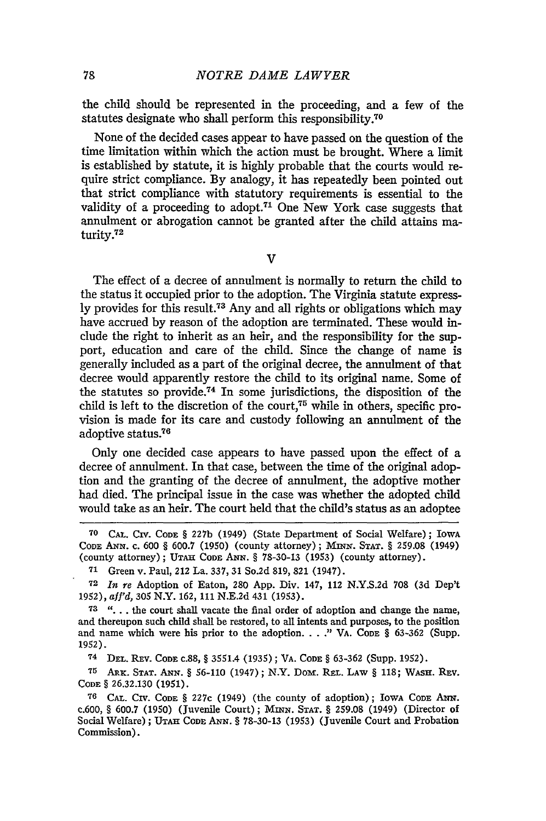the child should be represented in the proceeding, and a few of the statutes designate who shall perform this responsibility.70

None of the decided cases appear to have passed on the question of the time limitation within which the action must be brought. Where a limit is established by statute, it is highly probable that the courts would require strict compliance. By analogy, it has repeatedly been pointed out that strict compliance with statutory requirements is essential to the validity of a proceeding to adopt.<sup>71</sup> One New York case suggests that annulment or abrogation cannot be granted after the child attains maturity.<sup>72</sup>

 $\mathbf{v}$ 

The effect of a decree of annulment is normally to return the child to the status it occupied prior to the adoption. The Virginia statute expressly provides for this result.<sup>73</sup> Any and all rights or obligations which may have accrued by reason of the adoption are terminated. These would include the right to inherit as an heir, and the responsibility for the support, education and care of the child. Since the change of name is generally included as a part of the original decree, the annulment of that decree would apparently restore the child to its original name. Some of the statutes so provide.74 In some jurisdictions, the disposition of the child is left to the discretion of the court,<sup>75</sup> while in others, specific provision is made for its care and custody following an annulment of the adoptive status.<sup>76</sup>

Only one decided case appears to have passed upon the effect of a decree of annulment. In that case, between the time of the original adoption and the granting of the decree of annulment, the adoptive mother had died. The principal issue in the case was whether the adopted child would take as an heir. The court held that the child's status as an adoptee

**<sup>75</sup>**ARx. **STAT. ANN.** § **56-110** (1947); N.Y. Dom. REL. LAW § 118; **WASH.** REv. **CODE** § **26.32.130** (1951).

**<sup>70</sup>** CAL. Civ. CODE § 227b (1949) (State Department of Social Welfare); IowA **CODE AN.** c. 600 § 600.7 (1950) (county attorney); MINN. STAT. § 259.08 (1949) (county attorney); **UTAH CODE ANN.** § **78-30-13 (1953)** (county attorney).

**<sup>71</sup>**Green v. Paul, 212 La. 337, 31 **So.2d 819, 821** (1947).

**<sup>72</sup>** *In re* Adoption of Eaton, 280 App. Div. 147, 112 N.Y.S.2d 708 (3d Dep't 1952), *aff'd,* 305 N.Y. 162, 111 N.E.2d 431 (1953).

**<sup>73 &</sup>quot;...** . the court shall vacate the final order of adoption and change the name, and thereupon such child shall be restored, to all intents and purposes, to the position and name which were his prior to the adoption...." VA. Code § 63-362 (Supp. 1952).

**<sup>74</sup>DEL.** REV. CODE c.88, § 3551.4 **(1935);** VA. CODE § **63-362** (Supp. **1952).**

**<sup>76</sup> CAL. CIV. CODE** § 227c (1949) (the county of adoption); IowA CODE ANN. c.600, § 600.7 (1950) (Juvenile Court); **MINN. STAT.** § **259.08** (1949) (Director **of Social** Welfare); **UTAH CODE ANN.** § 78-30-13 (1953) (Juvenile Court and Probation Commission).